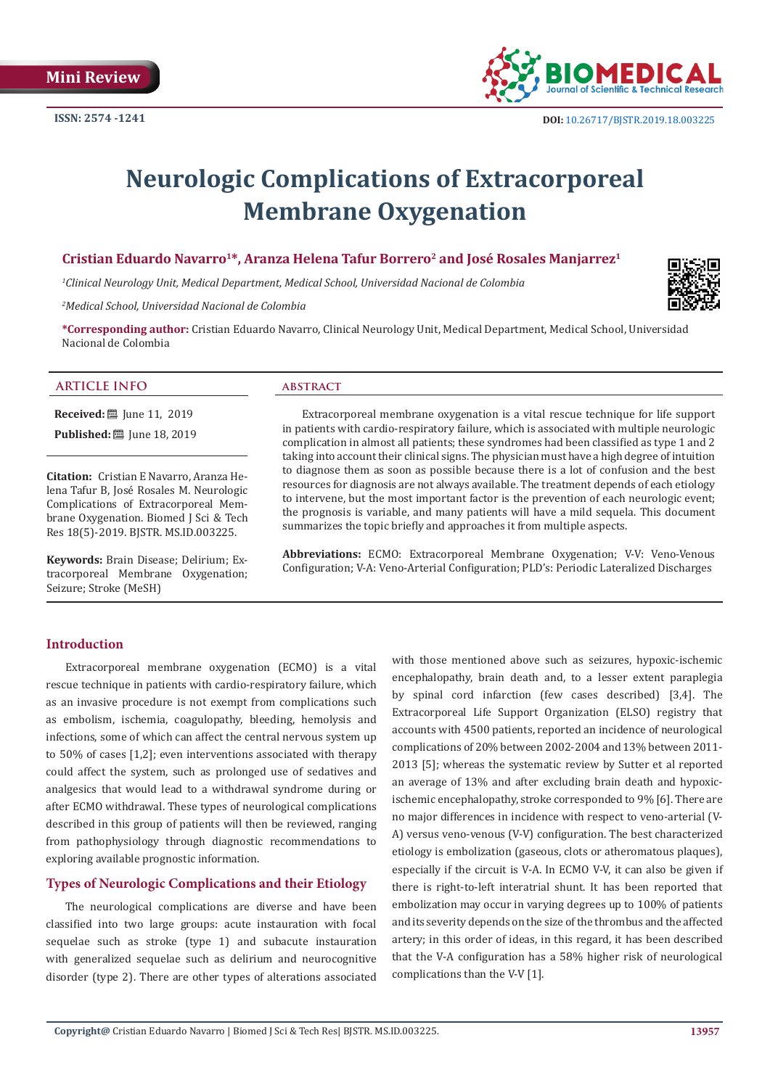

# **Neurologic Complications of Extracorporeal Membrane Oxygenation**

# **Cristian Eduardo Navarro1\*, Aranza Helena Tafur Borrero2 and José Rosales Manjarrez1**

*1 Clinical Neurology Unit, Medical Department, Medical School, Universidad Nacional de Colombia*

*2 Medical School, Universidad Nacional de Colombia*

**\*Corresponding author:** Cristian Eduardo Navarro, Clinical Neurology Unit, Medical Department, Medical School, Universidad Nacional de Colombia

#### **ARTICLE INFO abstract**

**Received:** ■ Iune 11, 2019

**Published:** [1011] Iune 18, 2019

**Citation:** Cristian E Navarro, Aranza Helena Tafur B, José Rosales M. Neurologic Complications of Extracorporeal Membrane Oxygenation. Biomed J Sci & Tech Res 18(5)-2019. BJSTR. MS.ID.003225.

**Keywords:** Brain Disease; Delirium; Extracorporeal Membrane Oxygenation; Seizure; Stroke (MeSH)

Extracorporeal membrane oxygenation is a vital rescue technique for life support in patients with cardio-respiratory failure, which is associated with multiple neurologic complication in almost all patients; these syndromes had been classified as type 1 and 2 taking into account their clinical signs. The physician must have a high degree of intuition to diagnose them as soon as possible because there is a lot of confusion and the best resources for diagnosis are not always available. The treatment depends of each etiology to intervene, but the most important factor is the prevention of each neurologic event; the prognosis is variable, and many patients will have a mild sequela. This document summarizes the topic briefly and approaches it from multiple aspects.

**Abbreviations:** ECMO: Extracorporeal Membrane Oxygenation; V-V: Veno-Venous Configuration; V-A: Veno-Arterial Configuration; PLD's: Periodic Lateralized Discharges

# **Introduction**

Extracorporeal membrane oxygenation (ECMO) is a vital rescue technique in patients with cardio-respiratory failure, which as an invasive procedure is not exempt from complications such as embolism, ischemia, coagulopathy, bleeding, hemolysis and infections, some of which can affect the central nervous system up to 50% of cases [1,2]; even interventions associated with therapy could affect the system, such as prolonged use of sedatives and analgesics that would lead to a withdrawal syndrome during or after ECMO withdrawal. These types of neurological complications described in this group of patients will then be reviewed, ranging from pathophysiology through diagnostic recommendations to exploring available prognostic information.

### **Types of Neurologic Complications and their Etiology**

The neurological complications are diverse and have been classified into two large groups: acute instauration with focal sequelae such as stroke (type 1) and subacute instauration with generalized sequelae such as delirium and neurocognitive disorder (type 2). There are other types of alterations associated

with those mentioned above such as seizures, hypoxic-ischemic encephalopathy, brain death and, to a lesser extent paraplegia by spinal cord infarction (few cases described) [3,4]. The Extracorporeal Life Support Organization (ELSO) registry that accounts with 4500 patients, reported an incidence of neurological complications of 20% between 2002-2004 and 13% between 2011- 2013 [5]; whereas the systematic review by Sutter et al reported an average of 13% and after excluding brain death and hypoxicischemic encephalopathy, stroke corresponded to 9% [6]. There are no major differences in incidence with respect to veno-arterial (V-A) versus veno-venous (V-V) configuration. The best characterized etiology is embolization (gaseous, clots or atheromatous plaques), especially if the circuit is V-A. In ECMO V-V, it can also be given if there is right-to-left interatrial shunt. It has been reported that embolization may occur in varying degrees up to 100% of patients and its severity depends on the size of the thrombus and the affected artery; in this order of ideas, in this regard, it has been described that the V-A configuration has a 58% higher risk of neurological complications than the V-V [1].

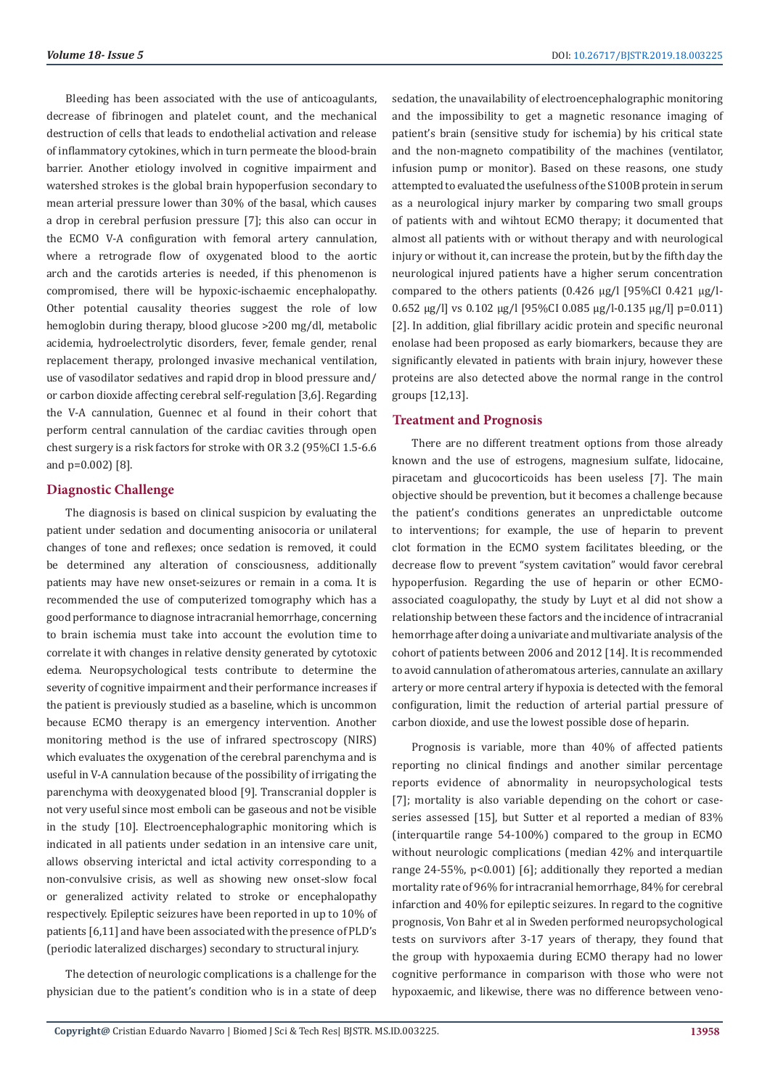Bleeding has been associated with the use of anticoagulants, decrease of fibrinogen and platelet count, and the mechanical destruction of cells that leads to endothelial activation and release of inflammatory cytokines, which in turn permeate the blood-brain barrier. Another etiology involved in cognitive impairment and watershed strokes is the global brain hypoperfusion secondary to mean arterial pressure lower than 30% of the basal, which causes a drop in cerebral perfusion pressure [7]; this also can occur in the ECMO V-A configuration with femoral artery cannulation, where a retrograde flow of oxygenated blood to the aortic arch and the carotids arteries is needed, if this phenomenon is compromised, there will be hypoxic-ischaemic encephalopathy. Other potential causality theories suggest the role of low hemoglobin during therapy, blood glucose >200 mg/dl, metabolic acidemia, hydroelectrolytic disorders, fever, female gender, renal replacement therapy, prolonged invasive mechanical ventilation, use of vasodilator sedatives and rapid drop in blood pressure and/ or carbon dioxide affecting cerebral self-regulation [3,6]. Regarding the V-A cannulation, Guennec et al found in their cohort that perform central cannulation of the cardiac cavities through open chest surgery is a risk factors for stroke with OR 3.2 (95%CI 1.5-6.6 and p=0.002) [8].

## **Diagnostic Challenge**

The diagnosis is based on clinical suspicion by evaluating the patient under sedation and documenting anisocoria or unilateral changes of tone and reflexes; once sedation is removed, it could be determined any alteration of consciousness, additionally patients may have new onset-seizures or remain in a coma. It is recommended the use of computerized tomography which has a good performance to diagnose intracranial hemorrhage, concerning to brain ischemia must take into account the evolution time to correlate it with changes in relative density generated by cytotoxic edema. Neuropsychological tests contribute to determine the severity of cognitive impairment and their performance increases if the patient is previously studied as a baseline, which is uncommon because ECMO therapy is an emergency intervention. Another monitoring method is the use of infrared spectroscopy (NIRS) which evaluates the oxygenation of the cerebral parenchyma and is useful in V-A cannulation because of the possibility of irrigating the parenchyma with deoxygenated blood [9]. Transcranial doppler is not very useful since most emboli can be gaseous and not be visible in the study [10]. Electroencephalographic monitoring which is indicated in all patients under sedation in an intensive care unit, allows observing interictal and ictal activity corresponding to a non-convulsive crisis, as well as showing new onset-slow focal or generalized activity related to stroke or encephalopathy respectively. Epileptic seizures have been reported in up to 10% of patients [6,11] and have been associated with the presence of PLD's (periodic lateralized discharges) secondary to structural injury.

The detection of neurologic complications is a challenge for the physician due to the patient's condition who is in a state of deep

sedation, the unavailability of electroencephalographic monitoring and the impossibility to get a magnetic resonance imaging of patient's brain (sensitive study for ischemia) by his critical state and the non-magneto compatibility of the machines (ventilator, infusion pump or monitor). Based on these reasons, one study attempted to evaluated the usefulness of the S100B protein in serum as a neurological injury marker by comparing two small groups of patients with and wihtout ECMO therapy; it documented that almost all patients with or without therapy and with neurological injury or without it, can increase the protein, but by the fifth day the neurological injured patients have a higher serum concentration compared to the others patients  $(0.426 \text{ µg/l} [95\% CI 0.421 \text{ µg/l}$ -0.652 µg/l] vs 0.102 µg/l [95%CI 0.085 µg/l-0.135 µg/l] p=0.011) [2]. In addition, glial fibrillary acidic protein and specific neuronal enolase had been proposed as early biomarkers, because they are significantly elevated in patients with brain injury, however these proteins are also detected above the normal range in the control groups [12,13].

#### **Treatment and Prognosis**

There are no different treatment options from those already known and the use of estrogens, magnesium sulfate, lidocaine, piracetam and glucocorticoids has been useless [7]. The main objective should be prevention, but it becomes a challenge because the patient's conditions generates an unpredictable outcome to interventions; for example, the use of heparin to prevent clot formation in the ECMO system facilitates bleeding, or the decrease flow to prevent "system cavitation" would favor cerebral hypoperfusion. Regarding the use of heparin or other ECMOassociated coagulopathy, the study by Luyt et al did not show a relationship between these factors and the incidence of intracranial hemorrhage after doing a univariate and multivariate analysis of the cohort of patients between 2006 and 2012 [14]. It is recommended to avoid cannulation of atheromatous arteries, cannulate an axillary artery or more central artery if hypoxia is detected with the femoral configuration, limit the reduction of arterial partial pressure of carbon dioxide, and use the lowest possible dose of heparin.

Prognosis is variable, more than 40% of affected patients reporting no clinical findings and another similar percentage reports evidence of abnormality in neuropsychological tests [7]; mortality is also variable depending on the cohort or caseseries assessed [15], but Sutter et al reported a median of 83% (interquartile range 54-100%) compared to the group in ECMO without neurologic complications (median 42% and interquartile range 24-55%, p<0.001) [6]; additionally they reported a median mortality rate of 96% for intracranial hemorrhage, 84% for cerebral infarction and 40% for epileptic seizures. In regard to the cognitive prognosis, Von Bahr et al in Sweden performed neuropsychological tests on survivors after 3-17 years of therapy, they found that the group with hypoxaemia during ECMO therapy had no lower cognitive performance in comparison with those who were not hypoxaemic, and likewise, there was no difference between veno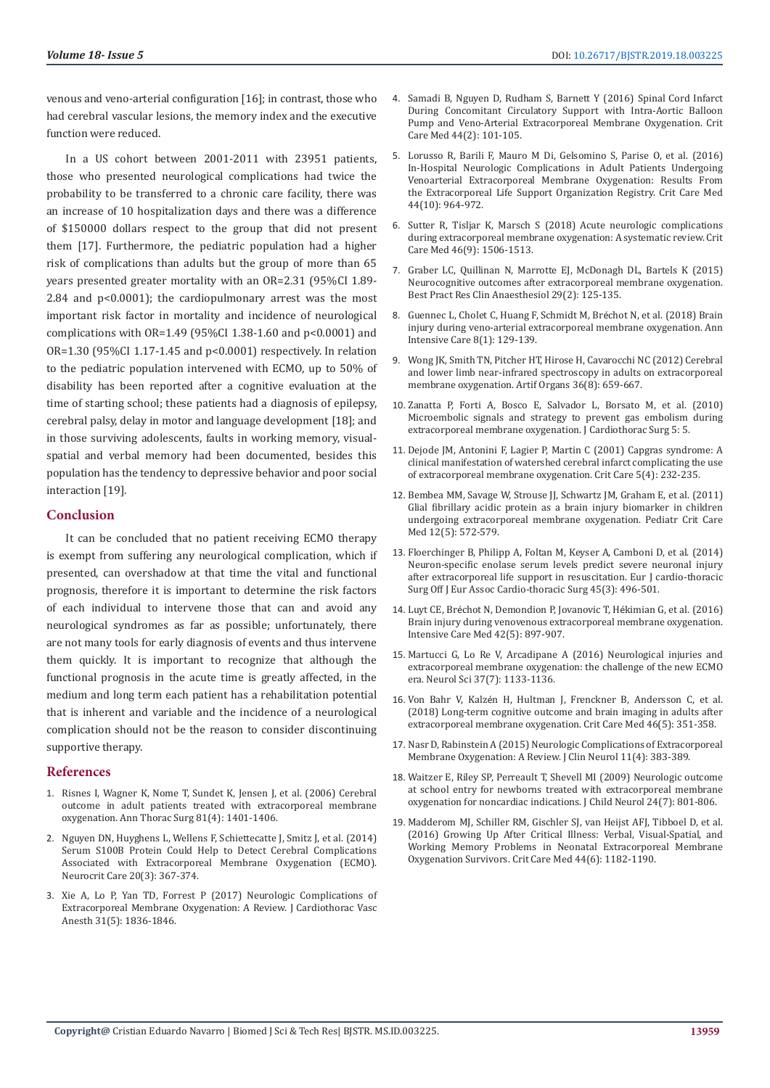venous and veno-arterial configuration [16]; in contrast, those who had cerebral vascular lesions, the memory index and the executive function were reduced.

In a US cohort between 2001-2011 with 23951 patients, those who presented neurological complications had twice the probability to be transferred to a chronic care facility, there was an increase of 10 hospitalization days and there was a difference of \$150000 dollars respect to the group that did not present them [17]. Furthermore, the pediatric population had a higher risk of complications than adults but the group of more than 65 years presented greater mortality with an OR=2.31 (95%CI 1.89- 2.84 and p<0.0001); the cardiopulmonary arrest was the most important risk factor in mortality and incidence of neurological complications with OR=1.49 (95%CI 1.38-1.60 and p<0.0001) and OR=1.30 (95%CI 1.17-1.45 and p<0.0001) respectively. In relation to the pediatric population intervened with ECMO, up to 50% of disability has been reported after a cognitive evaluation at the time of starting school; these patients had a diagnosis of epilepsy, cerebral palsy, delay in motor and language development [18]; and in those surviving adolescents, faults in working memory, visualspatial and verbal memory had been documented, besides this population has the tendency to depressive behavior and poor social interaction [19].

#### **Conclusion**

It can be concluded that no patient receiving ECMO therapy is exempt from suffering any neurological complication, which if presented, can overshadow at that time the vital and functional prognosis, therefore it is important to determine the risk factors of each individual to intervene those that can and avoid any neurological syndromes as far as possible; unfortunately, there are not many tools for early diagnosis of events and thus intervene them quickly. It is important to recognize that although the functional prognosis in the acute time is greatly affected, in the medium and long term each patient has a rehabilitation potential that is inherent and variable and the incidence of a neurological complication should not be the reason to consider discontinuing supportive therapy.

#### **References**

- 1. [Risnes I, Wagner K, Nome T, Sundet K, Jensen J, et al. \(2006\) Cerebral](https://www.ncbi.nlm.nih.gov/pubmed/16564280)  [outcome in adult patients treated with extracorporeal membrane](https://www.ncbi.nlm.nih.gov/pubmed/16564280)  [oxygenation. Ann Thorac Surg 81\(4\): 1401-1406.](https://www.ncbi.nlm.nih.gov/pubmed/16564280)
- 2. [Nguyen DN, Huyghens L, Wellens F, Schiettecatte J, Smitz J, et al. \(2014\)](https://www.ncbi.nlm.nih.gov/pubmed/23860667)  [Serum S100B Protein Could Help to Detect Cerebral Complications](https://www.ncbi.nlm.nih.gov/pubmed/23860667)  [Associated with Extracorporeal Membrane Oxygenation \(ECMO\).](https://www.ncbi.nlm.nih.gov/pubmed/23860667)  [Neurocrit Care 20\(3\): 367-374.](https://www.ncbi.nlm.nih.gov/pubmed/23860667)
- 3. [Xie A, Lo P, Yan TD, Forrest P \(2017\) Neurologic Complications of](https://www.ncbi.nlm.nih.gov/pubmed/28625752)  [Extracorporeal Membrane Oxygenation: A Review. J Cardiothorac Vasc](https://www.ncbi.nlm.nih.gov/pubmed/28625752)  [Anesth 31\(5\): 1836-1846.](https://www.ncbi.nlm.nih.gov/pubmed/28625752)
- 4. [Samadi B, Nguyen D, Rudham S, Barnett Y \(2016\) Spinal Cord Infarct](https://www.ncbi.nlm.nih.gov/pubmed/26509318) [During Concomitant Circulatory Support with Intra-Aortic Balloon](https://www.ncbi.nlm.nih.gov/pubmed/26509318) [Pump and Veno-Arterial Extracorporeal Membrane Oxygenation. Crit](https://www.ncbi.nlm.nih.gov/pubmed/26509318) [Care Med 44\(2\): 101-105.](https://www.ncbi.nlm.nih.gov/pubmed/26509318)
- 5. [Lorusso R, Barili F, Mauro M Di, Gelsomino S, Parise O, et al. \(2016\)](https://www.ncbi.nlm.nih.gov/pubmed/27340754) [In-Hospital Neurologic Complications in Adult Patients Undergoing](https://www.ncbi.nlm.nih.gov/pubmed/27340754) [Venoarterial Extracorporeal Membrane Oxygenation: Results From](https://www.ncbi.nlm.nih.gov/pubmed/27340754) [the Extracorporeal Life Support Organization Registry. Crit Care Med](https://www.ncbi.nlm.nih.gov/pubmed/27340754) [44\(10\): 964-972.](https://www.ncbi.nlm.nih.gov/pubmed/27340754)
- 6. [Sutter R, Tisljar K, Marsch S \(2018\) Acute neurologic complications](https://www.ncbi.nlm.nih.gov/pubmed/29782356) [during extracorporeal membrane oxygenation: A systematic review. Crit](https://www.ncbi.nlm.nih.gov/pubmed/29782356) [Care Med 46\(9\): 1506-1513.](https://www.ncbi.nlm.nih.gov/pubmed/29782356)
- 7. [Graber LC, Quillinan N, Marrotte EJ, McDonagh DL, Bartels K \(2015\)](https://www.ncbi.nlm.nih.gov/pubmed/26060025) [Neurocognitive outcomes after extracorporeal membrane oxygenation.](https://www.ncbi.nlm.nih.gov/pubmed/26060025) [Best Pract Res Clin Anaesthesiol 29\(2\): 125-135.](https://www.ncbi.nlm.nih.gov/pubmed/26060025)
- 8. [Guennec L, Cholet C, Huang F, Schmidt M, Br](https://www.ncbi.nlm.nih.gov/pubmed/30570687)échot N, et al. (2018) Brain [injury during veno-arterial extracorporeal membrane oxygenation. Ann](https://www.ncbi.nlm.nih.gov/pubmed/30570687) [Intensive Care 8\(1\): 129-139.](https://www.ncbi.nlm.nih.gov/pubmed/30570687)
- 9. [Wong JK, Smith TN, Pitcher HT, Hirose H, Cavarocchi NC \(2012\) Cerebral](https://www.ncbi.nlm.nih.gov/pubmed/22817780) [and lower limb near-infrared spectroscopy in adults on extracorporeal](https://www.ncbi.nlm.nih.gov/pubmed/22817780) [membrane oxygenation. Artif Organs 36\(8\): 659-667.](https://www.ncbi.nlm.nih.gov/pubmed/22817780)
- 10. [Zanatta P, Forti A, Bosco E, Salvador L, Borsato M, et al. \(2010\)](https://www.ncbi.nlm.nih.gov/pubmed/20132556) [Microembolic signals and strategy to prevent gas embolism during](https://www.ncbi.nlm.nih.gov/pubmed/20132556) [extracorporeal membrane oxygenation. J Cardiothorac Surg 5: 5.](https://www.ncbi.nlm.nih.gov/pubmed/20132556)
- 11. [Dejode JM, Antonini F, Lagier P, Martin C \(2001\) Capgras syndrome: A](https://www.ncbi.nlm.nih.gov/pmc/articles/PMC37410/) [clinical manifestation of watershed cerebral infarct complicating the use](https://www.ncbi.nlm.nih.gov/pmc/articles/PMC37410/) [of extracorporeal membrane oxygenation. Crit Care 5\(4\): 232-235.](https://www.ncbi.nlm.nih.gov/pmc/articles/PMC37410/)
- 12. [Bembea MM, Savage W, Strouse JJ, Schwartz JM, Graham E, et al. \(2011\)](https://www.ncbi.nlm.nih.gov/pubmed/21057367) [Glial fibrillary acidic protein as a brain injury biomarker in children](https://www.ncbi.nlm.nih.gov/pubmed/21057367) [undergoing extracorporeal membrane oxygenation. Pediatr Crit Care](https://www.ncbi.nlm.nih.gov/pubmed/21057367) [Med 12\(5\): 572-579.](https://www.ncbi.nlm.nih.gov/pubmed/21057367)
- 13. [Floerchinger B, Philipp A, Foltan M, Keyser A, Camboni D, et al. \(2014\)](https://www.ncbi.nlm.nih.gov/pubmed/23878016) [Neuron-specific enolase serum levels predict severe neuronal injury](https://www.ncbi.nlm.nih.gov/pubmed/23878016) [after extracorporeal life support in resuscitation. Eur J cardio-thoracic](https://www.ncbi.nlm.nih.gov/pubmed/23878016) [Surg Off J Eur Assoc Cardio-thoracic Surg 45\(3\): 496-501.](https://www.ncbi.nlm.nih.gov/pubmed/23878016)
- 14. Luyt CE, Bré[chot N, Demondion P, Jovanovic T, H](https://www.ncbi.nlm.nih.gov/pubmed/27007107)ékimian G, et al. (2016) [Brain injury during venovenous extracorporeal membrane oxygenation.](https://www.ncbi.nlm.nih.gov/pubmed/27007107) [Intensive Care Med 42\(5\): 897-907.](https://www.ncbi.nlm.nih.gov/pubmed/27007107)
- 15. [Martucci G, Lo Re V, Arcadipane A \(2016\) Neurological injuries and](https://www.ncbi.nlm.nih.gov/pubmed/26895322) [extracorporeal membrane oxygenation: the challenge of the new ECMO](https://www.ncbi.nlm.nih.gov/pubmed/26895322) [era. Neurol Sci 37\(7\): 1133-1136.](https://www.ncbi.nlm.nih.gov/pubmed/26895322)
- 16. Von Bahr V, Kalzé[n H, Hultman J, Frenckner B, Andersson C, et al.](https://www.ncbi.nlm.nih.gov/pubmed/29384779) [\(2018\) Long-term cognitive outcome and brain imaging in adults after](https://www.ncbi.nlm.nih.gov/pubmed/29384779) [extracorporeal membrane oxygenation. Crit Care Med 46\(5\): 351-358.](https://www.ncbi.nlm.nih.gov/pubmed/29384779)
- 17. [Nasr D, Rabinstein A \(2015\) Neurologic Complications of Extracorporeal](https://www.ncbi.nlm.nih.gov/pmc/articles/PMC4596114/) [Membrane Oxygenation: A Review. J Clin Neurol 11\(4\): 383-389.](https://www.ncbi.nlm.nih.gov/pmc/articles/PMC4596114/)
- 18. [Waitzer E, Riley SP, Perreault T, Shevell MI \(2009\) Neurologic outcome](https://journals.sagepub.com/doi/abs/10.1177/0883073808330765) [at school entry for newborns treated with extracorporeal membrane](https://journals.sagepub.com/doi/abs/10.1177/0883073808330765) [oxygenation for noncardiac indications. J Child Neurol 24\(7\): 801-806.](https://journals.sagepub.com/doi/abs/10.1177/0883073808330765)
- 19. [Madderom MJ, Schiller RM, Gischler SJ, van Heijst AFJ, Tibboel D, et al.](https://www.ncbi.nlm.nih.gov/pubmed/26937861) [\(2016\) Growing Up After Critical Illness: Verbal, Visual-Spatial, and](https://www.ncbi.nlm.nih.gov/pubmed/26937861) [Working Memory Problems in Neonatal Extracorporeal Membrane](https://www.ncbi.nlm.nih.gov/pubmed/26937861) [Oxygenation Survivors. Crit Care Med 44\(6\): 1182-1190.](https://www.ncbi.nlm.nih.gov/pubmed/26937861)